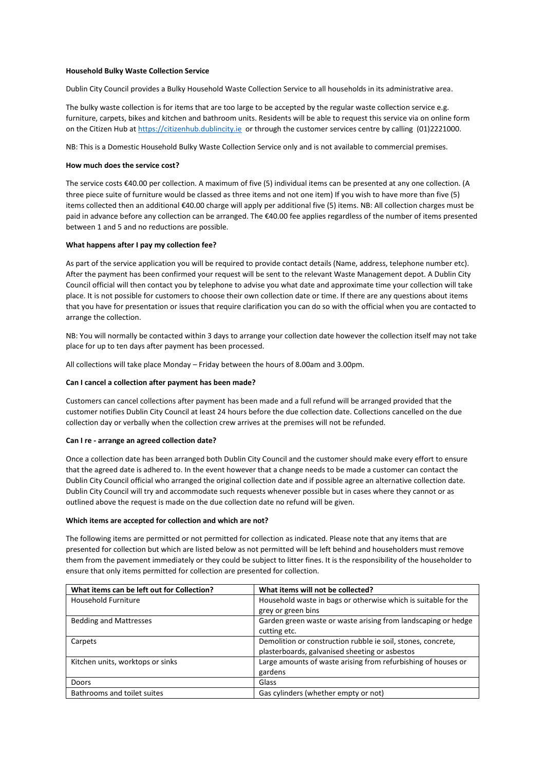#### **Household Bulky Waste Collection Service**

Dublin City Council provides a Bulky Household Waste Collection Service to all households in its administrative area.

The bulky waste collection is for items that are too large to be accepted by the regular waste collection service e.g. furniture, carpets, bikes and kitchen and bathroom units. Residents will be able to request this service via on online form on the Citizen Hub at [https://citizenhub.dublincity.ie](https://citizenhub.dublincity.ie/) or through the customer services centre by calling (01)2221000.

NB: This is a Domestic Household Bulky Waste Collection Service only and is not available to commercial premises.

### **How much does the service cost?**

The service costs €40.00 per collection. A maximum of five (5) individual items can be presented at any one collection. (A three piece suite of furniture would be classed as three items and not one item) If you wish to have more than five (5) items collected then an additional €40.00 charge will apply per additional five (5) items. NB: All collection charges must be paid in advance before any collection can be arranged. The €40.00 fee applies regardless of the number of items presented between 1 and 5 and no reductions are possible.

## **What happens after I pay my collection fee?**

As part of the service application you will be required to provide contact details (Name, address, telephone number etc). After the payment has been confirmed your request will be sent to the relevant Waste Management depot. A Dublin City Council official will then contact you by telephone to advise you what date and approximate time your collection will take place. It is not possible for customers to choose their own collection date or time. If there are any questions about items that you have for presentation or issues that require clarification you can do so with the official when you are contacted to arrange the collection.

NB: You will normally be contacted within 3 days to arrange your collection date however the collection itself may not take place for up to ten days after payment has been processed.

All collections will take place Monday – Friday between the hours of 8.00am and 3.00pm.

### **Can I cancel a collection after payment has been made?**

Customers can cancel collections after payment has been made and a full refund will be arranged provided that the customer notifies Dublin City Council at least 24 hours before the due collection date. Collections cancelled on the due collection day or verbally when the collection crew arrives at the premises will not be refunded.

#### **Can I re - arrange an agreed collection date?**

Once a collection date has been arranged both Dublin City Council and the customer should make every effort to ensure that the agreed date is adhered to. In the event however that a change needs to be made a customer can contact the Dublin City Council official who arranged the original collection date and if possible agree an alternative collection date. Dublin City Council will try and accommodate such requests whenever possible but in cases where they cannot or as outlined above the request is made on the due collection date no refund will be given.

#### **Which items are accepted for collection and which are not?**

The following items are permitted or not permitted for collection as indicated. Please note that any items that are presented for collection but which are listed below as not permitted will be left behind and householders must remove them from the pavement immediately or they could be subject to litter fines. It is the responsibility of the householder to ensure that only items permitted for collection are presented for collection.

| What items can be left out for Collection? | What items will not be collected?                              |
|--------------------------------------------|----------------------------------------------------------------|
| Household Furniture                        | Household waste in bags or otherwise which is suitable for the |
|                                            | grey or green bins                                             |
| <b>Bedding and Mattresses</b>              | Garden green waste or waste arising from landscaping or hedge  |
|                                            | cutting etc.                                                   |
| Carpets                                    | Demolition or construction rubble ie soil, stones, concrete,   |
|                                            | plasterboards, galvanised sheeting or asbestos                 |
| Kitchen units, worktops or sinks           | Large amounts of waste arising from refurbishing of houses or  |
|                                            | gardens                                                        |
| Doors                                      | Glass                                                          |
| Bathrooms and toilet suites                | Gas cylinders (whether empty or not)                           |